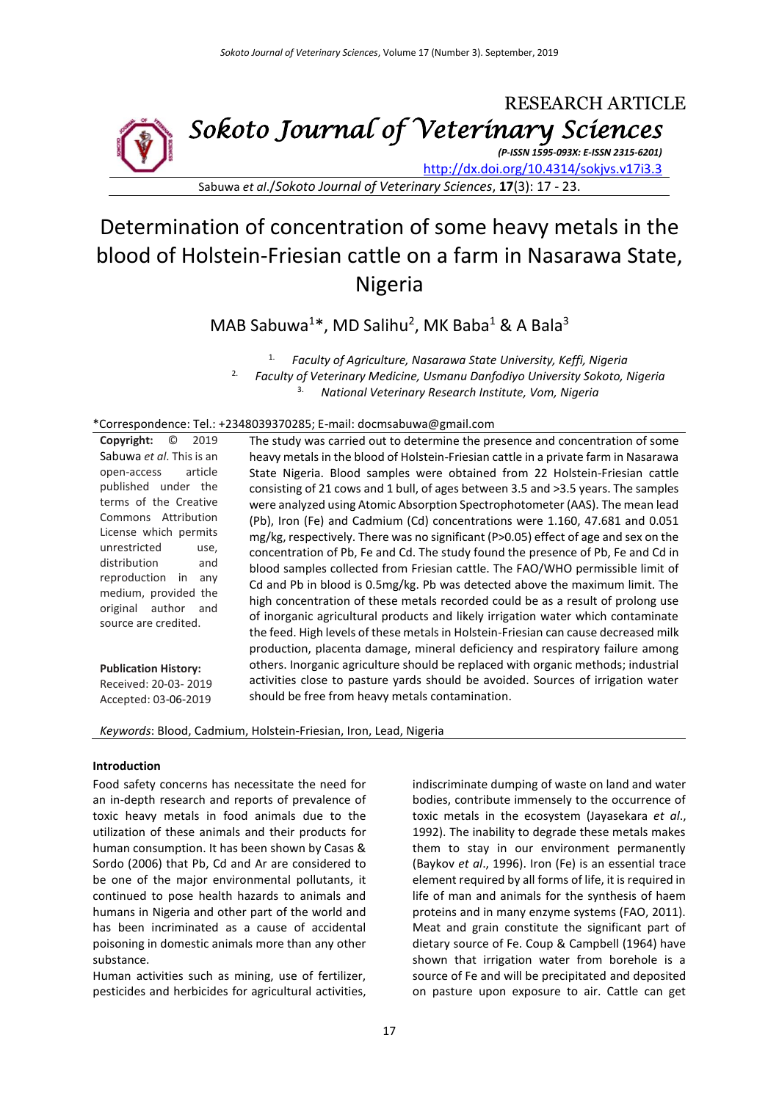

Sabuwa *et al*./*Sokoto Journal of Veterinary Sciences*, **17**(3): 17 - 23.

# Determination of concentration of some heavy metals in the blood of Holstein-Friesian cattle on a farm in Nasarawa State, Nigeria

MAB Sabuwa<sup>1\*</sup>, MD Salihu<sup>2</sup>, MK Baba<sup>1</sup> & A Bala<sup>3</sup>

1. *Faculty of Agriculture, Nasarawa State University, Keffi, Nigeria*

2. *Faculty of Veterinary Medicine, Usmanu Danfodiyo University Sokoto, Nigeria*

3. *National Veterinary Research Institute, Vom, Nigeria*

\*Correspondence: Tel.: +2348039370285; E-mail: docmsabuwa@gmail.com

| Copyright:<br>O<br>2019                       | The study was carried out to determine the presence and concentration of some                                                                                    |
|-----------------------------------------------|------------------------------------------------------------------------------------------------------------------------------------------------------------------|
| Sabuwa et al. This is an                      | heavy metals in the blood of Holstein-Friesian cattle in a private farm in Nasarawa                                                                              |
| article<br>open-access<br>published under the | State Nigeria. Blood samples were obtained from 22 Holstein-Friesian cattle<br>consisting of 21 cows and 1 bull, of ages between 3.5 and >3.5 years. The samples |
| terms of the Creative                         | were analyzed using Atomic Absorption Spectrophotometer (AAS). The mean lead                                                                                     |
| Commons Attribution<br>License which permits  | (Pb), Iron (Fe) and Cadmium (Cd) concentrations were 1.160, 47.681 and 0.051                                                                                     |
| unrestricted<br>use,                          | mg/kg, respectively. There was no significant (P>0.05) effect of age and sex on the                                                                              |
| distribution<br>and                           | concentration of Pb, Fe and Cd. The study found the presence of Pb, Fe and Cd in                                                                                 |
| reproduction in<br>any                        | blood samples collected from Friesian cattle. The FAO/WHO permissible limit of                                                                                   |
| medium, provided the                          | Cd and Pb in blood is 0.5mg/kg. Pb was detected above the maximum limit. The                                                                                     |
| original author<br>and                        | high concentration of these metals recorded could be as a result of prolong use                                                                                  |
| source are credited.                          | of inorganic agricultural products and likely irrigation water which contaminate                                                                                 |
|                                               | the feed. High levels of these metals in Holstein-Friesian can cause decreased milk                                                                              |
|                                               | production, placenta damage, mineral deficiency and respiratory failure among                                                                                    |
| <b>Publication History:</b>                   | others. Inorganic agriculture should be replaced with organic methods; industrial                                                                                |
| Received: 20-03-2019                          | activities close to pasture yards should be avoided. Sources of irrigation water                                                                                 |
| Accepted: 03-06-2019                          | should be free from heavy metals contamination.                                                                                                                  |

*Keywords*: Blood, Cadmium, Holstein-Friesian, Iron, Lead, Nigeria

#### **Introduction**

Food safety concerns has necessitate the need for an in-depth research and reports of prevalence of toxic heavy metals in food animals due to the utilization of these animals and their products for human consumption. It has been shown by Casas & Sordo (2006) that Pb, Cd and Ar are considered to be one of the major environmental pollutants, it continued to pose health hazards to animals and humans in Nigeria and other part of the world and has been incriminated as a cause of accidental poisoning in domestic animals more than any other substance.

Human activities such as mining, use of fertilizer, pesticides and herbicides for agricultural activities, indiscriminate dumping of waste on land and water bodies, contribute immensely to the occurrence of toxic metals in the ecosystem (Jayasekara *et al*., 1992). The inability to degrade these metals makes them to stay in our environment permanently (Baykov *et al*., 1996). Iron (Fe) is an essential trace element required by all forms of life, it is required in life of man and animals for the synthesis of haem proteins and in many enzyme systems (FAO, 2011). Meat and grain constitute the significant part of dietary source of Fe. Coup & Campbell (1964) have shown that irrigation water from borehole is a source of Fe and will be precipitated and deposited on pasture upon exposure to air. Cattle can get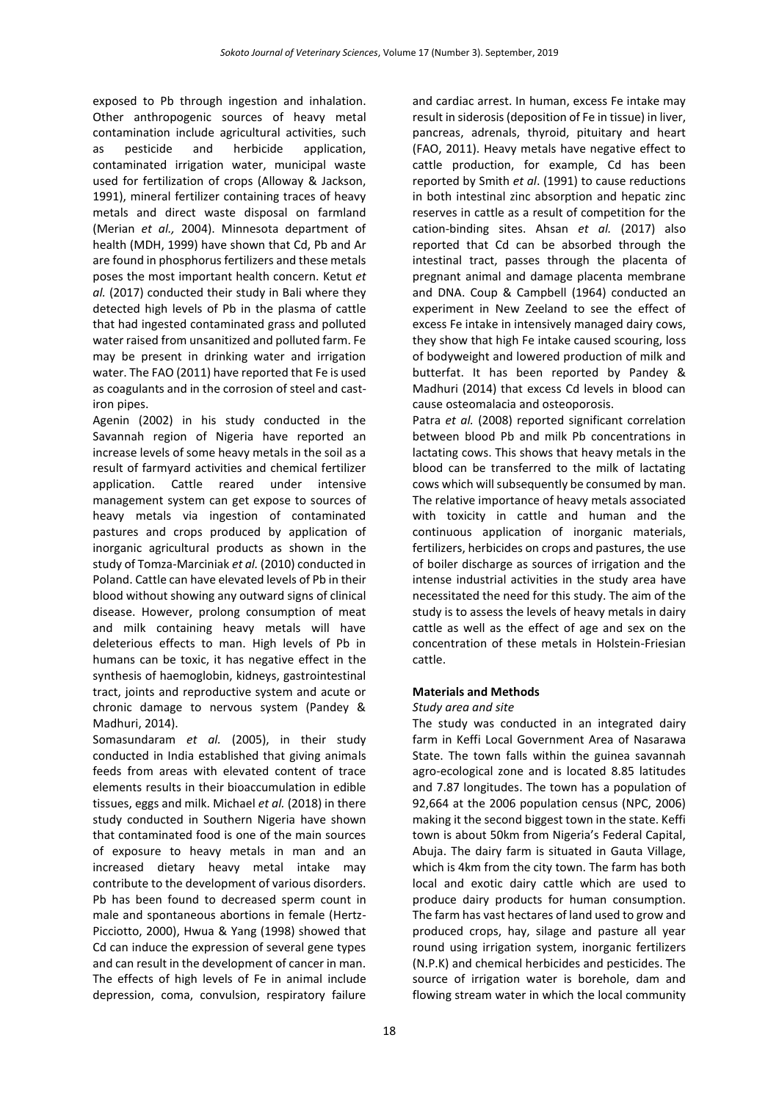exposed to Pb through ingestion and inhalation. Other anthropogenic sources of heavy metal contamination include agricultural activities, such as pesticide and herbicide application, contaminated irrigation water, municipal waste used for fertilization of crops (Alloway & Jackson, 1991), mineral fertilizer containing traces of heavy metals and direct waste disposal on farmland (Merian *et al.,* 2004). Minnesota department of health (MDH, 1999) have shown that Cd, Pb and Ar are found in phosphorus fertilizers and these metals poses the most important health concern. Ketut *et al.* (2017) conducted their study in Bali where they detected high levels of Pb in the plasma of cattle that had ingested contaminated grass and polluted water raised from unsanitized and polluted farm. Fe may be present in drinking water and irrigation water. The FAO (2011) have reported that Fe is used as coagulants and in the corrosion of steel and castiron pipes.

Agenin (2002) in his study conducted in the Savannah region of Nigeria have reported an increase levels of some heavy metals in the soil as a result of farmyard activities and chemical fertilizer application. Cattle reared under intensive management system can get expose to sources of heavy metals via ingestion of contaminated pastures and crops produced by application of inorganic agricultural products as shown in the study of Tomza-Marciniak *et al.* (2010) conducted in Poland. Cattle can have elevated levels of Pb in their blood without showing any outward signs of clinical disease. However, prolong consumption of meat and milk containing heavy metals will have deleterious effects to man. High levels of Pb in humans can be toxic, it has negative effect in the synthesis of haemoglobin, kidneys, gastrointestinal tract, joints and reproductive system and acute or chronic damage to nervous system (Pandey & Madhuri, 2014).

Somasundaram *et al.* (2005), in their study conducted in India established that giving animals feeds from areas with elevated content of trace elements results in their bioaccumulation in edible tissues, eggs and milk. Michael *et al.* (2018) in there study conducted in Southern Nigeria have shown that contaminated food is one of the main sources of exposure to heavy metals in man and an increased dietary heavy metal intake may contribute to the development of various disorders. Pb has been found to decreased sperm count in male and spontaneous abortions in female (Hertz-Picciotto, 2000), Hwua & Yang (1998) showed that Cd can induce the expression of several gene types and can result in the development of cancer in man. The effects of high levels of Fe in animal include depression, coma, convulsion, respiratory failure

and cardiac arrest. In human, excess Fe intake may result in siderosis (deposition of Fe in tissue) in liver, pancreas, adrenals, thyroid, pituitary and heart (FAO, 2011). Heavy metals have negative effect to cattle production, for example, Cd has been reported by Smith *et al*. (1991) to cause reductions in both intestinal zinc absorption and hepatic zinc reserves in cattle as a result of competition for the cation-binding sites. Ahsan *et al.* (2017) also reported that Cd can be absorbed through the intestinal tract, passes through the placenta of pregnant animal and damage placenta membrane and DNA. Coup & Campbell (1964) conducted an experiment in New Zeeland to see the effect of excess Fe intake in intensively managed dairy cows, they show that high Fe intake caused scouring, loss of bodyweight and lowered production of milk and butterfat. It has been reported by Pandey & Madhuri (2014) that excess Cd levels in blood can cause osteomalacia and osteoporosis.

Patra *et al.* (2008) reported significant correlation between blood Pb and milk Pb concentrations in lactating cows. This shows that heavy metals in the blood can be transferred to the milk of lactating cows which will subsequently be consumed by man. The relative importance of heavy metals associated with toxicity in cattle and human and the continuous application of inorganic materials, fertilizers, herbicides on crops and pastures, the use of boiler discharge as sources of irrigation and the intense industrial activities in the study area have necessitated the need for this study. The aim of the study is to assess the levels of heavy metals in dairy cattle as well as the effect of age and sex on the concentration of these metals in Holstein-Friesian cattle.

# **Materials and Methods**

#### *Study area and site*

The study was conducted in an integrated dairy farm in Keffi Local Government Area of Nasarawa State. The town falls within the guinea savannah agro-ecological zone and is located 8.85 latitudes and 7.87 longitudes. The town has a population of 92,664 at the 2006 population census (NPC, 2006) making it the second biggest town in the state. Keffi town is about 50km from Nigeria's Federal Capital, Abuja. The dairy farm is situated in Gauta Village, which is 4km from the city town. The farm has both local and exotic dairy cattle which are used to produce dairy products for human consumption. The farm has vast hectares of land used to grow and produced crops, hay, silage and pasture all year round using irrigation system, inorganic fertilizers (N.P.K) and chemical herbicides and pesticides. The source of irrigation water is borehole, dam and flowing stream water in which the local community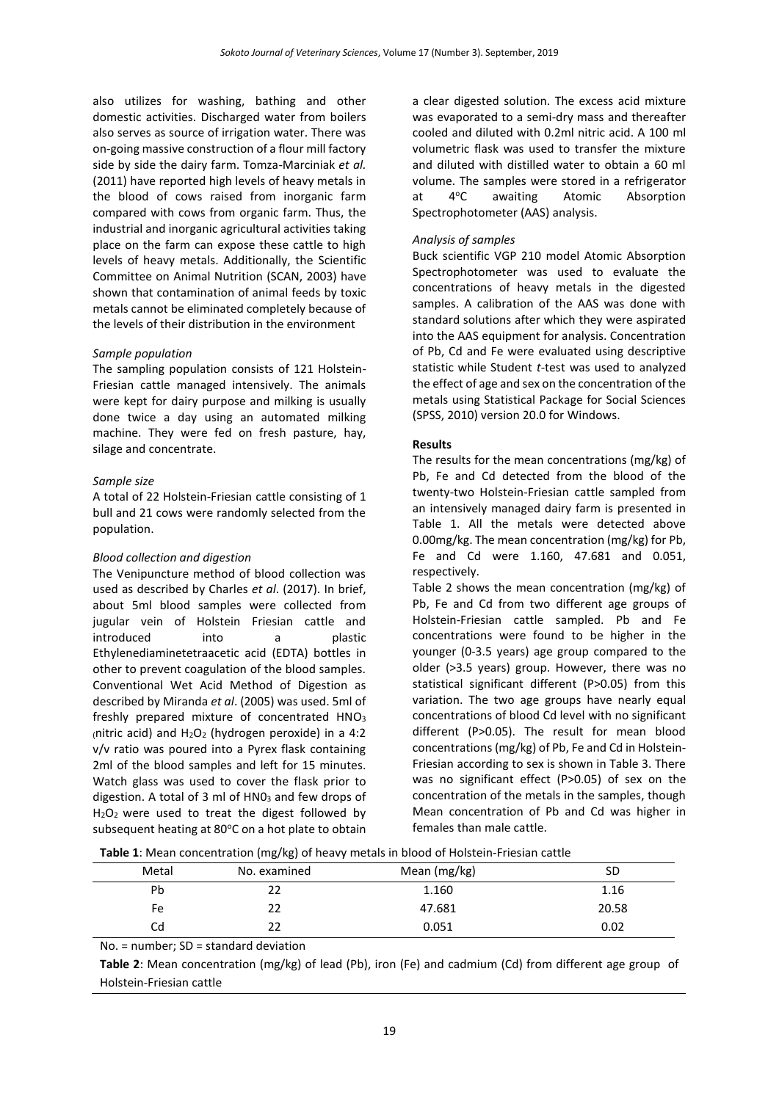also utilizes for washing, bathing and other domestic activities. Discharged water from boilers also serves as source of irrigation water. There was on-going massive construction of a flour mill factory side by side the dairy farm. Tomza-Marciniak *et al.* (2011) have reported high levels of heavy metals in the blood of cows raised from inorganic farm compared with cows from organic farm. Thus, the industrial and inorganic agricultural activities taking place on the farm can expose these cattle to high levels of heavy metals. Additionally, the Scientific Committee on Animal Nutrition (SCAN, 2003) have shown that contamination of animal feeds by toxic metals cannot be eliminated completely because of the levels of their distribution in the environment

# *Sample population*

The sampling population consists of 121 Holstein-Friesian cattle managed intensively. The animals were kept for dairy purpose and milking is usually done twice a day using an automated milking machine. They were fed on fresh pasture, hay, silage and concentrate.

# *Sample size*

A total of 22 Holstein-Friesian cattle consisting of 1 bull and 21 cows were randomly selected from the population.

# *Blood collection and digestion*

The Venipuncture method of blood collection was used as described by Charles *et al*. (2017). In brief, about 5ml blood samples were collected from jugular vein of Holstein Friesian cattle and introduced into a plastic Ethylenediaminetetraacetic acid (EDTA) bottles in other to prevent coagulation of the blood samples. Conventional Wet Acid Method of Digestion as described by Miranda *et al*. (2005) was used. 5ml of freshly prepared mixture of concentrated HNO<sup>3</sup> (nitric acid) and  $H_2O_2$  (hydrogen peroxide) in a 4:2 v/v ratio was poured into a Pyrex flask containing 2ml of the blood samples and left for 15 minutes. Watch glass was used to cover the flask prior to digestion. A total of 3 ml of HN03 and few drops of  $H<sub>2</sub>O<sub>2</sub>$  were used to treat the digest followed by subsequent heating at 80°C on a hot plate to obtain a clear digested solution. The excess acid mixture was evaporated to a semi-dry mass and thereafter cooled and diluted with 0.2ml nitric acid. A 100 ml volumetric flask was used to transfer the mixture and diluted with distilled water to obtain a 60 ml volume. The samples were stored in a refrigerator at 4°C awaiting Atomic Absorption Spectrophotometer (AAS) analysis.

# *Analysis of samples*

Buck scientific VGP 210 model Atomic Absorption Spectrophotometer was used to evaluate the concentrations of heavy metals in the digested samples. A calibration of the AAS was done with standard solutions after which they were aspirated into the AAS equipment for analysis. Concentration of Pb, Cd and Fe were evaluated using descriptive statistic while Student *t*-test was used to analyzed the effect of age and sex on the concentration of the metals using Statistical Package for Social Sciences (SPSS, 2010) version 20.0 for Windows.

# **Results**

The results for the mean concentrations (mg/kg) of Pb, Fe and Cd detected from the blood of the twenty-two Holstein-Friesian cattle sampled from an intensively managed dairy farm is presented in Table 1. All the metals were detected above 0.00mg/kg. The mean concentration (mg/kg) for Pb, Fe and Cd were 1.160, 47.681 and 0.051, respectively.

Table 2 shows the mean concentration (mg/kg) of Pb, Fe and Cd from two different age groups of Holstein-Friesian cattle sampled. Pb and Fe concentrations were found to be higher in the younger (0-3.5 years) age group compared to the older (>3.5 years) group. However, there was no statistical significant different (P>0.05) from this variation. The two age groups have nearly equal concentrations of blood Cd level with no significant different (P>0.05). The result for mean blood concentrations (mg/kg) of Pb, Fe and Cd in Holstein-Friesian according to sex is shown in Table 3. There was no significant effect (P>0.05) of sex on the concentration of the metals in the samples, though Mean concentration of Pb and Cd was higher in females than male cattle.

**Table 1**: Mean concentration (mg/kg) of heavy metals in blood of Holstein-Friesian cattle

| Metal | No. examined | Mean (mg/kg) | SD    |
|-------|--------------|--------------|-------|
| Pb    |              | 1.160        | 1.16  |
| Fe    |              | 47.681       | 20.58 |
| Cd    |              | 0.051        | 0.02  |
|       |              |              |       |

No. = number; SD = standard deviation

**Table 2**: Mean concentration (mg/kg) of lead (Pb), iron (Fe) and cadmium (Cd) from different age group of Holstein-Friesian cattle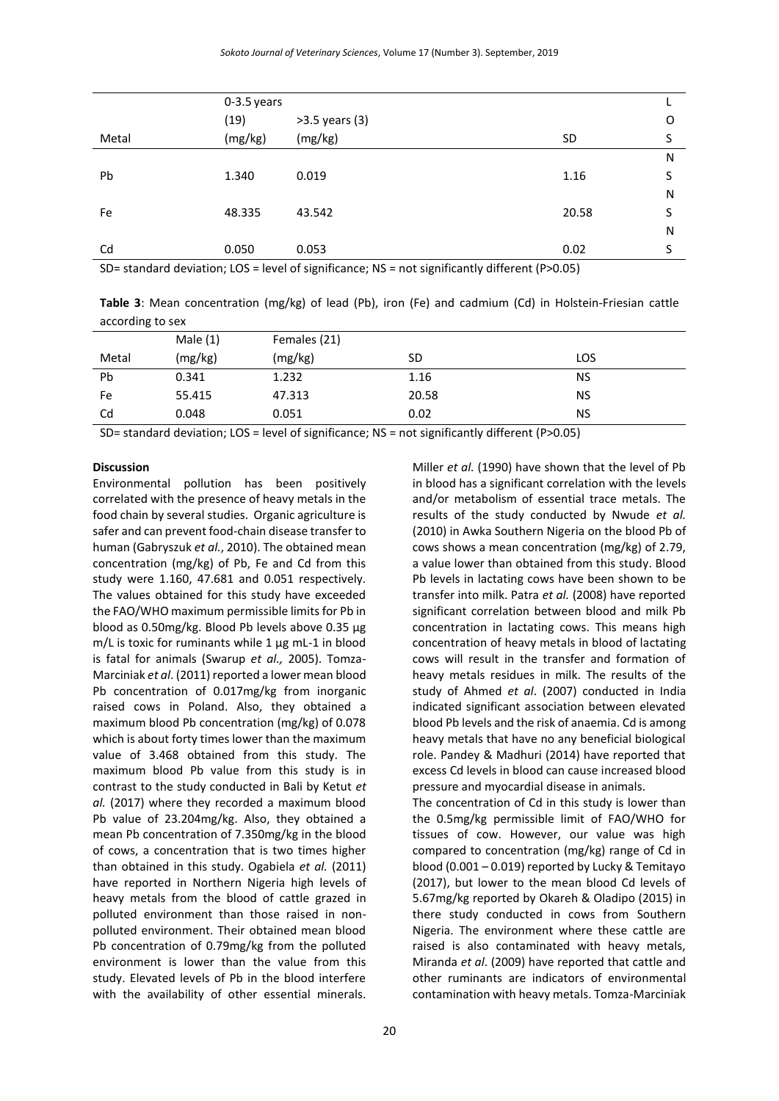|       | $0-3.5$ years |                  |           |   |
|-------|---------------|------------------|-----------|---|
|       | (19)          | $>3.5$ years (3) |           | O |
| Metal | (mg/kg)       | (mg/kg)          | <b>SD</b> | S |
|       |               |                  |           | N |
| Pb    | 1.340         | 0.019            | 1.16      | S |
|       |               |                  |           | N |
| Fe    | 48.335        | 43.542           | 20.58     | S |
|       |               |                  |           | N |
| Cd    | 0.050         | 0.053            | 0.02      | S |
|       |               |                  |           |   |

SD= standard deviation; LOS = level of significance; NS = not significantly different (P>0.05)

**Table 3**: Mean concentration (mg/kg) of lead (Pb), iron (Fe) and cadmium (Cd) in Holstein-Friesian cattle according to sex

|       | Male $(1)$ | Females (21) |       |           |
|-------|------------|--------------|-------|-----------|
| Metal | (mg/kg)    | (mg/kg)      | SD    | LOS       |
| Pb    | 0.341      | 1.232        | 1.16  | <b>NS</b> |
| Fe    | 55.415     | 47.313       | 20.58 | <b>NS</b> |
| Cd    | 0.048      | 0.051        | 0.02  | NS.       |

SD= standard deviation; LOS = level of significance; NS = not significantly different (P>0.05)

# **Discussion**

Environmental pollution has been positively correlated with the presence of heavy metals in the food chain by several studies. Organic agriculture is safer and can prevent food-chain disease transfer to human (Gabryszuk *et al.*, 2010). The obtained mean concentration (mg/kg) of Pb, Fe and Cd from this study were 1.160, 47.681 and 0.051 respectively. The values obtained for this study have exceeded the FAO/WHO maximum permissible limits for Pb in blood as 0.50mg/kg. Blood Pb levels above 0.35 μg m/L is toxic for ruminants while 1 μg mL-1 in blood is fatal for animals (Swarup *et al.,* 2005). Tomza-Marciniak *et al*. (2011) reported a lower mean blood Pb concentration of 0.017mg/kg from inorganic raised cows in Poland. Also, they obtained a maximum blood Pb concentration (mg/kg) of 0.078 which is about forty times lower than the maximum value of 3.468 obtained from this study. The maximum blood Pb value from this study is in contrast to the study conducted in Bali by Ketut *et al.* (2017) where they recorded a maximum blood Pb value of 23.204mg/kg. Also, they obtained a mean Pb concentration of 7.350mg/kg in the blood of cows, a concentration that is two times higher than obtained in this study. Ogabiela *et al.* (2011) have reported in Northern Nigeria high levels of heavy metals from the blood of cattle grazed in polluted environment than those raised in nonpolluted environment. Their obtained mean blood Pb concentration of 0.79mg/kg from the polluted environment is lower than the value from this study. Elevated levels of Pb in the blood interfere with the availability of other essential minerals.

Miller *et al.* (1990) have shown that the level of Pb in blood has a significant correlation with the levels and/or metabolism of essential trace metals. The results of the study conducted by Nwude *et al.* (2010) in Awka Southern Nigeria on the blood Pb of cows shows a mean concentration (mg/kg) of 2.79, a value lower than obtained from this study. Blood Pb levels in lactating cows have been shown to be transfer into milk. Patra *et al.* (2008) have reported significant correlation between blood and milk Pb concentration in lactating cows. This means high concentration of heavy metals in blood of lactating cows will result in the transfer and formation of heavy metals residues in milk. The results of the study of Ahmed *et al*. (2007) conducted in India indicated significant association between elevated blood Pb levels and the risk of anaemia. Cd is among heavy metals that have no any beneficial biological role. Pandey & Madhuri (2014) have reported that excess Cd levels in blood can cause increased blood pressure and myocardial disease in animals. The concentration of Cd in this study is lower than

the 0.5mg/kg permissible limit of FAO/WHO for tissues of cow. However, our value was high compared to concentration (mg/kg) range of Cd in blood (0.001 – 0.019) reported by Lucky & Temitayo (2017), but lower to the mean blood Cd levels of 5.67mg/kg reported by Okareh & Oladipo (2015) in there study conducted in cows from Southern Nigeria. The environment where these cattle are raised is also contaminated with heavy metals, Miranda *et al*. (2009) have reported that cattle and other ruminants are indicators of environmental contamination with heavy metals. Tomza-Marciniak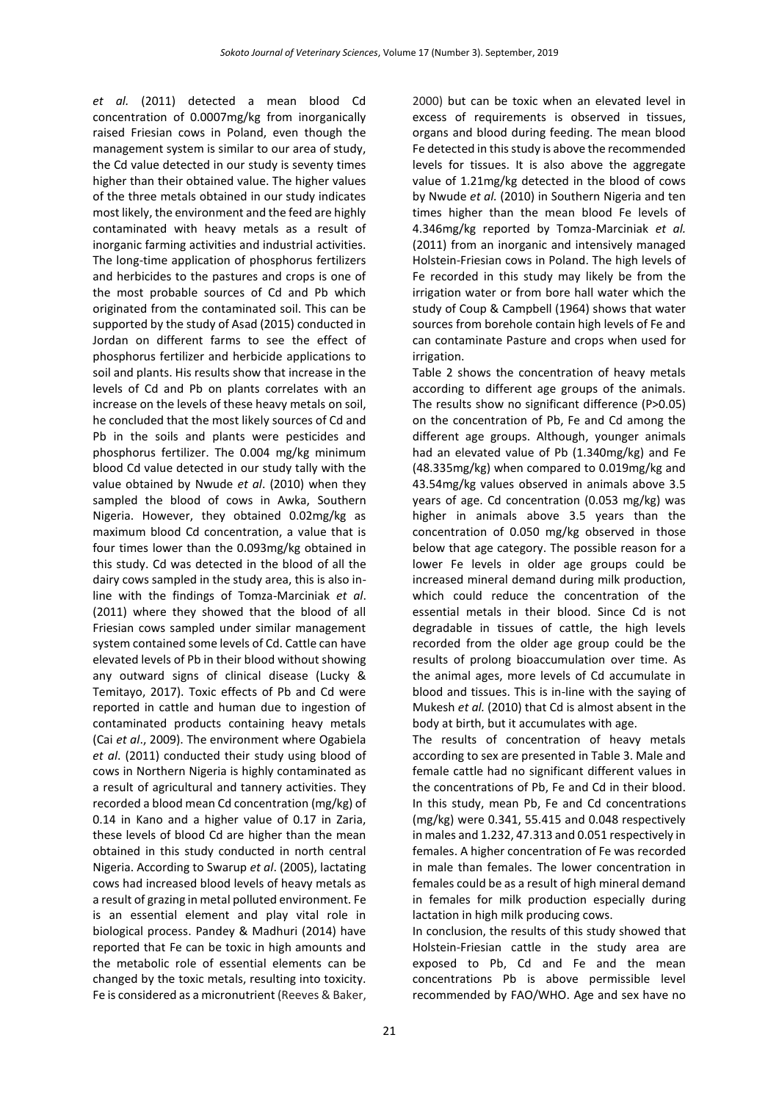*et al.* (2011) detected a mean blood Cd concentration of 0.0007mg/kg from inorganically raised Friesian cows in Poland, even though the management system is similar to our area of study, the Cd value detected in our study is seventy times higher than their obtained value. The higher values of the three metals obtained in our study indicates most likely, the environment and the feed are highly contaminated with heavy metals as a result of inorganic farming activities and industrial activities. The long-time application of phosphorus fertilizers and herbicides to the pastures and crops is one of the most probable sources of Cd and Pb which originated from the contaminated soil. This can be supported by the study of Asad (2015) conducted in Jordan on different farms to see the effect of phosphorus fertilizer and herbicide applications to soil and plants. His results show that increase in the levels of Cd and Pb on plants correlates with an increase on the levels of these heavy metals on soil, he concluded that the most likely sources of Cd and Pb in the soils and plants were pesticides and phosphorus fertilizer. The 0.004 mg/kg minimum blood Cd value detected in our study tally with the value obtained by Nwude *et al*. (2010) when they sampled the blood of cows in Awka, Southern Nigeria. However, they obtained 0.02mg/kg as maximum blood Cd concentration, a value that is four times lower than the 0.093mg/kg obtained in this study. Cd was detected in the blood of all the dairy cows sampled in the study area, this is also inline with the findings of Tomza-Marciniak *et al*. (2011) where they showed that the blood of all Friesian cows sampled under similar management system contained some levels of Cd. Cattle can have elevated levels of Pb in their blood without showing any outward signs of clinical disease (Lucky & Temitayo, 2017). Toxic effects of Pb and Cd were reported in cattle and human due to ingestion of contaminated products containing heavy metals (Cai *et al*., 2009). The environment where Ogabiela *et al*. (2011) conducted their study using blood of cows in Northern Nigeria is highly contaminated as a result of agricultural and tannery activities. They recorded a blood mean Cd concentration (mg/kg) of 0.14 in Kano and a higher value of 0.17 in Zaria, these levels of blood Cd are higher than the mean obtained in this study conducted in north central Nigeria. According to Swarup *et al*. (2005), lactating cows had increased blood levels of heavy metals as a result of grazing in metal polluted environment. Fe is an essential element and play vital role in biological process. Pandey & Madhuri (2014) have reported that Fe can be toxic in high amounts and the metabolic role of essential elements can be changed by the toxic metals, resulting into toxicity. Fe is considered as a micronutrient (Reeves & Baker, 2000) but can be toxic when an elevated level in excess of requirements is observed in tissues, organs and blood during feeding. The mean blood Fe detected in this study is above the recommended levels for tissues. It is also above the aggregate value of 1.21mg/kg detected in the blood of cows by Nwude *et al.* (2010) in Southern Nigeria and ten times higher than the mean blood Fe levels of 4.346mg/kg reported by Tomza-Marciniak *et al.* (2011) from an inorganic and intensively managed Holstein-Friesian cows in Poland. The high levels of Fe recorded in this study may likely be from the irrigation water or from bore hall water which the study of Coup & Campbell (1964) shows that water sources from borehole contain high levels of Fe and can contaminate Pasture and crops when used for irrigation.

Table 2 shows the concentration of heavy metals according to different age groups of the animals. The results show no significant difference (P>0.05) on the concentration of Pb, Fe and Cd among the different age groups. Although, younger animals had an elevated value of Pb (1.340mg/kg) and Fe (48.335mg/kg) when compared to 0.019mg/kg and 43.54mg/kg values observed in animals above 3.5 years of age. Cd concentration (0.053 mg/kg) was higher in animals above 3.5 years than the concentration of 0.050 mg/kg observed in those below that age category. The possible reason for a lower Fe levels in older age groups could be increased mineral demand during milk production, which could reduce the concentration of the essential metals in their blood. Since Cd is not degradable in tissues of cattle, the high levels recorded from the older age group could be the results of prolong bioaccumulation over time. As the animal ages, more levels of Cd accumulate in blood and tissues. This is in-line with the saying of Mukesh *et al.* (2010) that Cd is almost absent in the body at birth, but it accumulates with age.

The results of concentration of heavy metals according to sex are presented in Table 3. Male and female cattle had no significant different values in the concentrations of Pb, Fe and Cd in their blood. In this study, mean Pb, Fe and Cd concentrations (mg/kg) were 0.341, 55.415 and 0.048 respectively in males and 1.232, 47.313 and 0.051 respectively in females. A higher concentration of Fe was recorded in male than females. The lower concentration in females could be as a result of high mineral demand in females for milk production especially during lactation in high milk producing cows.

In conclusion, the results of this study showed that Holstein-Friesian cattle in the study area are exposed to Pb, Cd and Fe and the mean concentrations Pb is above permissible level recommended by FAO/WHO. Age and sex have no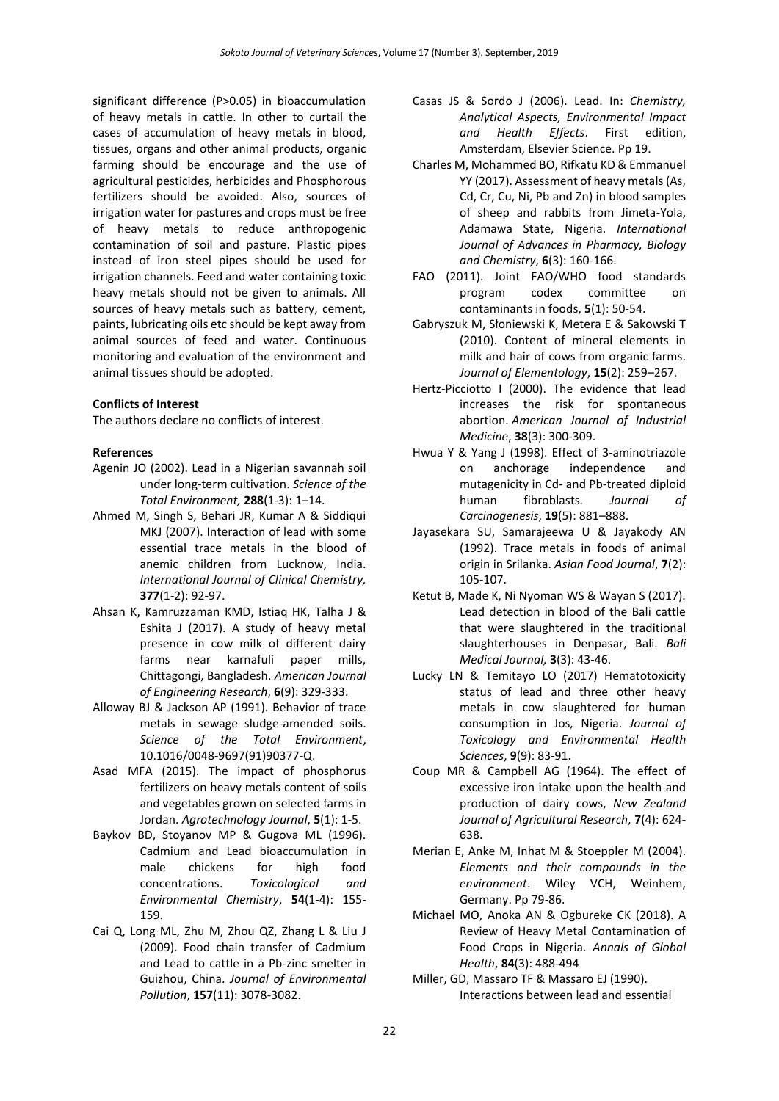significant difference (P>0.05) in bioaccumulation of heavy metals in cattle. In other to curtail the cases of accumulation of heavy metals in blood, tissues, organs and other animal products, organic farming should be encourage and the use of agricultural pesticides, herbicides and Phosphorous fertilizers should be avoided. Also, sources of irrigation water for pastures and crops must be free of heavy metals to reduce anthropogenic contamination of soil and pasture. Plastic pipes instead of iron steel pipes should be used for irrigation channels. Feed and water containing toxic heavy metals should not be given to animals. All sources of heavy metals such as battery, cement, paints, lubricating oils etc should be kept away from animal sources of feed and water. Continuous monitoring and evaluation of the environment and animal tissues should be adopted.

# **Conflicts of Interest**

The authors declare no conflicts of interest.

# **References**

- Agenin JO (2002). Lead in a Nigerian savannah soil under long-term cultivation. *Science of the Total Environment,* **288**(1-3): 1–14.
- Ahmed M, Singh S, Behari JR, Kumar A & Siddiqui MKJ (2007). Interaction of lead with some essential trace metals in the blood of anemic children from Lucknow, India. *International Journal of Clinical Chemistry,* **377**(1-2): 92-97.
- Ahsan K, Kamruzzaman KMD, Istiaq HK, Talha J & Eshita J (2017). A study of heavy metal presence in cow milk of different dairy farms near karnafuli paper mills, Chittagongi, Bangladesh. *American Journal of Engineering Research*, **6**(9): 329-333.
- Alloway BJ & Jackson AP (1991). Behavior of trace metals in sewage sludge-amended soils. *Science of the Total Environment*, 10.1016/0048-9697(91)90377-Q.
- Asad MFA (2015). The impact of phosphorus fertilizers on heavy metals content of soils and vegetables grown on selected farms in Jordan. *Agrotechnology Journal*, **5**(1): 1-5.
- Baykov BD, Stoyanov MP & Gugova ML (1996). Cadmium and Lead bioaccumulation in male chickens for high food concentrations. *Toxicological and Environmental Chemistry*, **54**(1-4): 155- 159.
- Cai Q, Long ML, Zhu M, Zhou QZ, Zhang L & Liu J (2009). Food chain transfer of Cadmium and Lead to cattle in a Pb-zinc smelter in Guizhou, China. *Journal of Environmental Pollution*, **157**(11): 3078-3082.
- Casas JS & Sordo J (2006). Lead. In: *Chemistry, Analytical Aspects, Environmental Impact and Health Effects*. First edition, Amsterdam, Elsevier Science. Pp 19.
- Charles M, Mohammed BO, Rifkatu KD & Emmanuel YY (2017). Assessment of heavy metals (As, Cd, Cr, Cu, Ni, Pb and Zn) in blood samples of sheep and rabbits from Jimeta-Yola, Adamawa State, Nigeria. *International Journal of Advances in Pharmacy, Biology and Chemistry*, **6**(3): 160-166.
- FAO (2011). Joint FAO/WHO food standards program codex committee on contaminants in foods, **5**(1): 50-54.
- Gabryszuk M, Słoniewski K, Metera E & Sakowski T (2010). Content of mineral elements in milk and hair of cows from organic farms. *Journal of Elementology*, **15**(2): 259–267.
- Hertz-Picciotto I (2000). The evidence that lead increases the risk for spontaneous abortion. *American Journal of Industrial Medicine*, **38**(3): 300-309.
- Hwua Y & Yang J (1998). Effect of 3-aminotriazole on anchorage independence and mutagenicity in Cd- and Pb-treated diploid human fibroblasts*. Journal of Carcinogenesis*, **19**(5): 881–888.
- Jayasekara SU, Samarajeewa U & Jayakody AN (1992). Trace metals in foods of animal origin in Srilanka. *Asian Food Journal*, **7**(2): 105-107.
- Ketut B, Made K, Ni Nyoman WS & Wayan S (2017). Lead detection in blood of the Bali cattle that were slaughtered in the traditional slaughterhouses in Denpasar, Bali. *Bali Medical Journal,* **3**(3): 43-46.
- Lucky LN & Temitayo LO (2017) Hematotoxicity status of lead and three other heavy metals in cow slaughtered for human consumption in Jos*,* Nigeria. *Journal of Toxicology and Environmental Health Sciences*, **9**(9): 83-91.
- Coup MR & Campbell AG (1964). The effect of excessive iron intake upon the health and production of dairy cows, *New Zealand Journal of Agricultural Research,* **7**(4): 624- 638.
- Merian E, Anke M, Inhat M & Stoeppler M (2004). *Elements and their compounds in the environment*. Wiley VCH, Weinhem, Germany. Pp 79-86.
- Michael MO, Anoka AN & Ogbureke CK (2018). A Review of Heavy Metal Contamination of Food Crops in Nigeria. *Annals of Global Health*, **84**(3): 488-494
- Miller, GD, Massaro TF & Massaro EJ (1990). Interactions between lead and essential